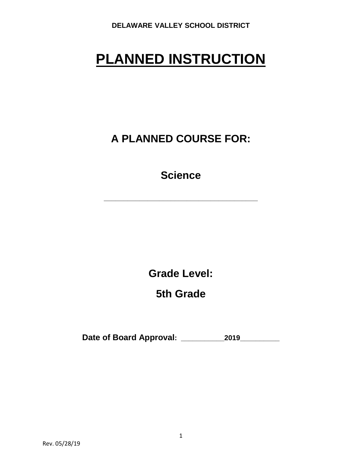# **PLANNED INSTRUCTION**

**A PLANNED COURSE FOR:**

**Science**

**\_\_\_\_\_\_\_\_\_\_\_\_\_\_\_\_\_\_\_\_\_\_\_\_\_\_\_\_\_\_\_\_\_\_\_\_\_\_\_**

**Grade Level:**

**5th Grade**

**Date of Board Approval: \_\_\_\_\_\_\_\_\_\_\_2019\_\_\_\_\_\_\_\_\_\_**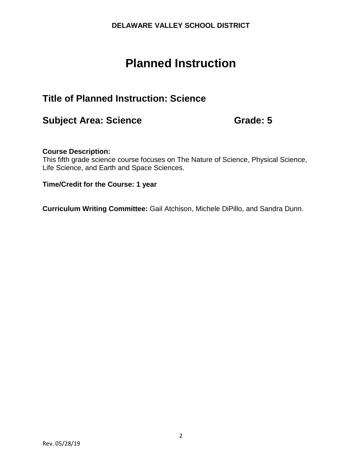## **Planned Instruction**

## **Title of Planned Instruction: Science**

## **Subject Area: Science Grade: 5**

#### **Course Description:**

This fifth grade science course focuses on The Nature of Science, Physical Science, Life Science, and Earth and Space Sciences.

#### **Time/Credit for the Course: 1 year**

**Curriculum Writing Committee:** Gail Atchison, Michele DiPillo, and Sandra Dunn.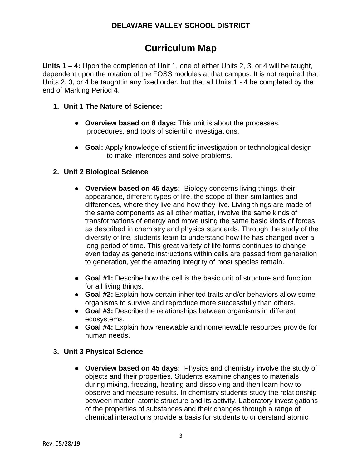## **Curriculum Map**

**Units 1 – 4:** Upon the completion of Unit 1, one of either Units 2, 3, or 4 will be taught, dependent upon the rotation of the FOSS modules at that campus. It is not required that Units 2, 3, or 4 be taught in any fixed order, but that all Units 1 - 4 be completed by the end of Marking Period 4.

- **1. Unit 1 The Nature of Science:**
	- **Overview based on 8 days:** This unit is about the processes, procedures, and tools of scientific investigations.
	- **Goal:** Apply knowledge of scientific investigation or technological design to make inferences and solve problems.

#### **2. Unit 2 Biological Science**

- **Overview based on 45 days:** Biology concerns living things, their appearance, different types of life, the scope of their similarities and differences, where they live and how they live. Living things are made of the same components as all other matter, involve the same kinds of transformations of energy and move using the same basic kinds of forces as described in chemistry and physics standards. Through the study of the diversity of life, students learn to understand how life has changed over a long period of time. This great variety of life forms continues to change even today as genetic instructions within cells are passed from generation to generation, yet the amazing integrity of most species remain.
- **Goal #1:** Describe how the cell is the basic unit of structure and function for all living things.
- **Goal #2:** Explain how certain inherited traits and/or behaviors allow some organisms to survive and reproduce more successfully than others.
- **Goal #3:** Describe the relationships between organisms in different ecosystems.
- **Goal #4:** Explain how renewable and nonrenewable resources provide for human needs.

#### **3. Unit 3 Physical Science**

● **Overview based on 45 days:** Physics and chemistry involve the study of objects and their properties. Students examine changes to materials during mixing, freezing, heating and dissolving and then learn how to observe and measure results. In chemistry students study the relationship between matter, atomic structure and its activity. Laboratory investigations of the properties of substances and their changes through a range of chemical interactions provide a basis for students to understand atomic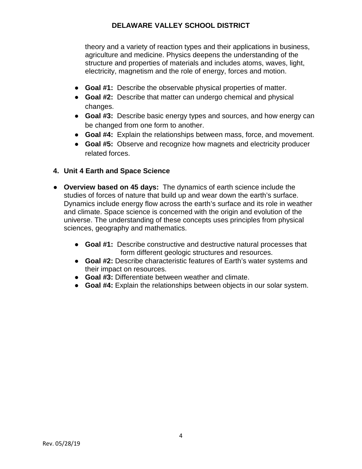theory and a variety of reaction types and their applications in business, agriculture and medicine. Physics deepens the understanding of the structure and properties of materials and includes atoms, waves, light, electricity, magnetism and the role of energy, forces and motion.

- **Goal #1:** Describe the observable physical properties of matter.
- **Goal #2:** Describe that matter can undergo chemical and physical changes.
- **Goal #3:** Describe basic energy types and sources, and how energy can be changed from one form to another.
- **Goal #4:** Explain the relationships between mass, force, and movement.
- **Goal #5:** Observe and recognize how magnets and electricity producer related forces.

#### **4. Unit 4 Earth and Space Science**

- **Overview based on 45 days:** The dynamics of earth science include the studies of forces of nature that build up and wear down the earth's surface. Dynamics include energy flow across the earth's surface and its role in weather and climate. Space science is concerned with the origin and evolution of the universe. The understanding of these concepts uses principles from physical sciences, geography and mathematics.
	- **Goal #1:** Describe constructive and destructive natural processes that form different geologic structures and resources.
	- **Goal #2:** Describe characteristic features of Earth's water systems and their impact on resources.
	- **Goal #3:** Differentiate between weather and climate.
	- **Goal #4:** Explain the relationships between objects in our solar system.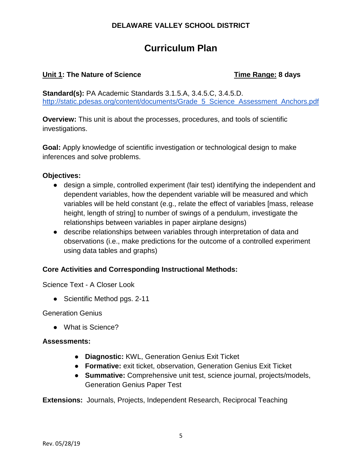## **Curriculum Plan**

#### **Unit 1: The Nature of Science** Time Range: 8 days

**Standard(s):** PA Academic Standards 3.1.5.A, 3.4.5.C, 3.4.5.D. [http://static.pdesas.org/content/documents/Grade\\_5\\_Science\\_Assessment\\_Anchors.pdf](http://static.pdesas.org/content/documents/Grade_5_Science_Assessment_Anchors.pdf)

**Overview:** This unit is about the processes, procedures, and tools of scientific investigations.

**Goal:** Apply knowledge of scientific investigation or technological design to make inferences and solve problems.

#### **Objectives:**

- design a simple, controlled experiment (fair test) identifying the independent and dependent variables, how the dependent variable will be measured and which variables will be held constant (e.g., relate the effect of variables [mass, release height, length of string] to number of swings of a pendulum, investigate the relationships between variables in paper airplane designs)
- describe relationships between variables through interpretation of data and observations (i.e., make predictions for the outcome of a controlled experiment using data tables and graphs)

#### **Core Activities and Corresponding Instructional Methods:**

Science Text - A Closer Look

• Scientific Method pgs. 2-11

Generation Genius

● What is Science?

#### **Assessments:**

- **Diagnostic:** KWL, Generation Genius Exit Ticket
- **Formative:** exit ticket, observation, Generation Genius Exit Ticket
- **Summative:** Comprehensive unit test, science journal, projects/models, Generation Genius Paper Test

**Extensions:** Journals, Projects, Independent Research, Reciprocal Teaching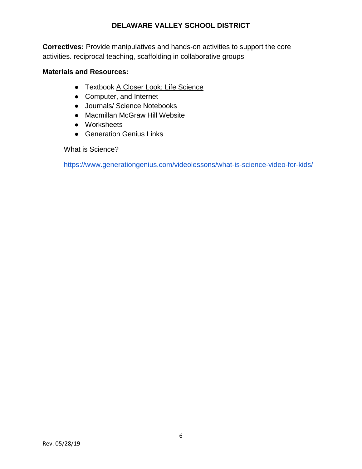**Correctives:** Provide manipulatives and hands‐on activities to support the core activities. reciprocal teaching, scaffolding in collaborative groups

#### **Materials and Resources:**

- Textbook A Closer Look: Life Science
- Computer, and Internet
- Journals/ Science Notebooks
- Macmillan McGraw Hill Website
- Worksheets
- **Generation Genius Links**

What is Science?

<https://www.generationgenius.com/videolessons/what-is-science-video-for-kids/>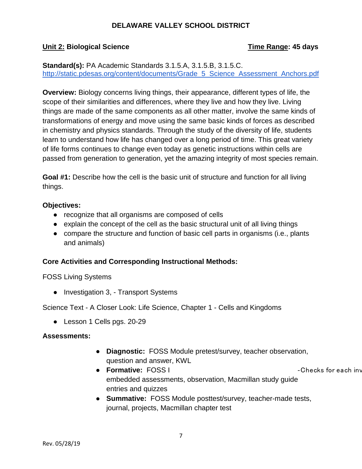#### **Unit 2: Biological Science The Science Time Range: 45 days**

#### **Standard(s):** PA Academic Standards 3.1.5.A, 3.1.5.B, 3.1.5.C. [http://static.pdesas.org/content/documents/Grade\\_5\\_Science\\_Assessment\\_Anchors.pdf](http://static.pdesas.org/content/documents/Grade_5_Science_Assessment_Anchors.pdf)

**Overview:** Biology concerns living things, their appearance, different types of life, the scope of their similarities and differences, where they live and how they live. Living things are made of the same components as all other matter, involve the same kinds of transformations of energy and move using the same basic kinds of forces as described in chemistry and physics standards. Through the study of the diversity of life, students learn to understand how life has changed over a long period of time. This great variety of life forms continues to change even today as genetic instructions within cells are passed from generation to generation, yet the amazing integrity of most species remain.

**Goal #1:** Describe how the cell is the basic unit of structure and function for all living things.

#### **Objectives:**

- recognize that all organisms are composed of cells
- explain the concept of the cell as the basic structural unit of all living things
- compare the structure and function of basic cell parts in organisms (i.e., plants and animals)

#### **Core Activities and Corresponding Instructional Methods:**

#### FOSS Living Systems

● Investigation 3, - Transport Systems

Science Text - A Closer Look: Life Science, Chapter 1 - Cells and Kingdoms

● Lesson 1 Cells pgs. 20-29

#### **Assessments:**

- **Diagnostic:** FOSS Module pretest/survey, teacher observation, question and answer, KWL
- **Formative:** FOSS I ‐Checks for each inv embedded assessments, observation, Macmillan study guide entries and quizzes
- **Summative:** FOSS Module posttest/survey, teacher-made tests, journal, projects, Macmillan chapter test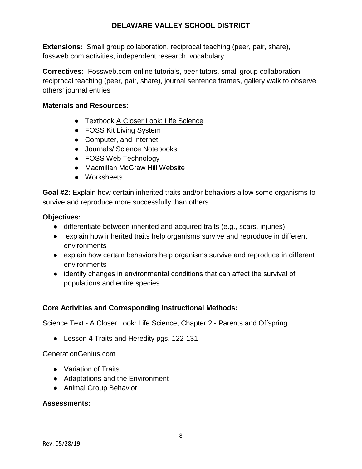**Extensions:** Small group collaboration, reciprocal teaching (peer, pair, share), fossweb.com activities, independent research, vocabulary

**Correctives:** Fossweb.com online tutorials, peer tutors, small group collaboration, reciprocal teaching (peer, pair, share), journal sentence frames, gallery walk to observe others' journal entries

#### **Materials and Resources:**

- Textbook A Closer Look: Life Science
- FOSS Kit Living System
- Computer, and Internet
- Journals/ Science Notebooks
- FOSS Web Technology
- Macmillan McGraw Hill Website
- Worksheets

**Goal #2:** Explain how certain inherited traits and/or behaviors allow some organisms to survive and reproduce more successfully than others.

#### **Objectives:**

- differentiate between inherited and acquired traits (e.g., scars, injuries)
- explain how inherited traits help organisms survive and reproduce in different environments
- explain how certain behaviors help organisms survive and reproduce in different environments
- identify changes in environmental conditions that can affect the survival of populations and entire species

#### **Core Activities and Corresponding Instructional Methods:**

Science Text - A Closer Look: Life Science, Chapter 2 - Parents and Offspring

● Lesson 4 Traits and Heredity pgs. 122-131

#### GenerationGenius.com

- Variation of Traits
- Adaptations and the Environment
- Animal Group Behavior

#### **Assessments:**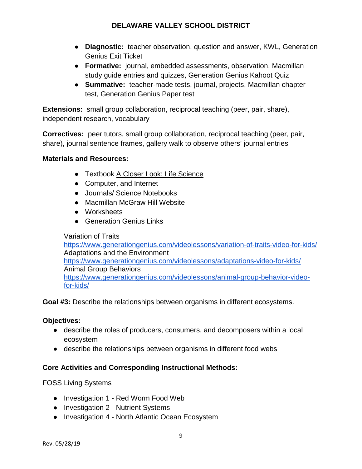- **Diagnostic:** teacher observation, question and answer, KWL, Generation Genius Exit Ticket
- **Formative:** journal, embedded assessments, observation, Macmillan study guide entries and quizzes, Generation Genius Kahoot Quiz
- **Summative:** teacher-made tests, journal, projects, Macmillan chapter test, Generation Genius Paper test

**Extensions:** small group collaboration, reciprocal teaching (peer, pair, share), independent research, vocabulary

**Correctives:** peer tutors, small group collaboration, reciprocal teaching (peer, pair, share), journal sentence frames, gallery walk to observe others' journal entries

#### **Materials and Resources:**

- Textbook A Closer Look: Life Science
- Computer, and Internet
- Journals/ Science Notebooks
- Macmillan McGraw Hill Website
- Worksheets
- Generation Genius Links

#### Variation of Traits

<https://www.generationgenius.com/videolessons/variation-of-traits-video-for-kids/> Adaptations and the Environment <https://www.generationgenius.com/videolessons/adaptations-video-for-kids/> Animal Group Behaviors [https://www.generationgenius.com/videolessons/animal-group-behavior-video](https://www.generationgenius.com/videolessons/animal-group-behavior-video-for-kids/)[for-kids/](https://www.generationgenius.com/videolessons/animal-group-behavior-video-for-kids/)

**Goal #3:** Describe the relationships between organisms in different ecosystems.

#### **Objectives:**

- describe the roles of producers, consumers, and decomposers within a local ecosystem
- describe the relationships between organisms in different food webs

#### **Core Activities and Corresponding Instructional Methods:**

FOSS Living Systems

- Investigation 1 Red Worm Food Web
- Investigation 2 Nutrient Systems
- Investigation 4 North Atlantic Ocean Ecosystem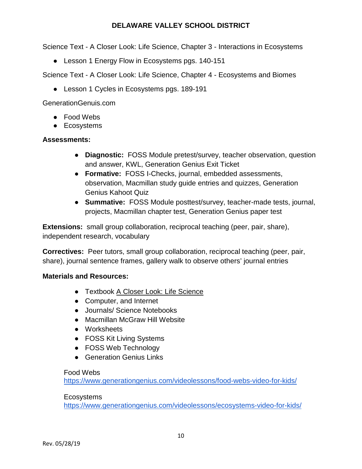Science Text - A Closer Look: Life Science, Chapter 3 - Interactions in Ecosystems

● Lesson 1 Energy Flow in Ecosystems pgs. 140-151

Science Text - A Closer Look: Life Science, Chapter 4 - Ecosystems and Biomes

● Lesson 1 Cycles in Ecosystems pgs. 189-191

GenerationGenuis.com

- Food Webs
- Ecosystems

#### **Assessments:**

- **Diagnostic:** FOSS Module pretest/survey, teacher observation, question and answer, KWL, Generation Genius Exit Ticket
- **Formative:** FOSS I-Checks, journal, embedded assessments, observation, Macmillan study guide entries and quizzes, Generation Genius Kahoot Quiz
- **Summative:** FOSS Module posttest/survey, teacher-made tests, journal, projects, Macmillan chapter test, Generation Genius paper test

**Extensions:** small group collaboration, reciprocal teaching (peer, pair, share), independent research, vocabulary

**Correctives:** Peer tutors, small group collaboration, reciprocal teaching (peer, pair, share), journal sentence frames, gallery walk to observe others' journal entries

#### **Materials and Resources:**

- Textbook A Closer Look: Life Science
- Computer, and Internet
- Journals/ Science Notebooks
- Macmillan McGraw Hill Website
- Worksheets
- FOSS Kit Living Systems
- FOSS Web Technology
- Generation Genius Links

#### Food Webs

<https://www.generationgenius.com/videolessons/food-webs-video-for-kids/>

#### **Ecosystems**

<https://www.generationgenius.com/videolessons/ecosystems-video-for-kids/>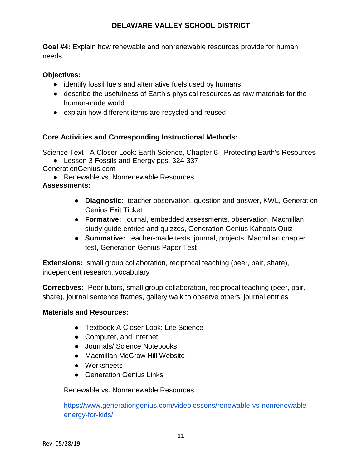**Goal #4:** Explain how renewable and nonrenewable resources provide for human needs.

#### **Objectives:**

- identify fossil fuels and alternative fuels used by humans
- describe the usefulness of Earth's physical resources as raw materials for the human-made world
- explain how different items are recycled and reused

#### **Core Activities and Corresponding Instructional Methods:**

Science Text - A Closer Look: Earth Science, Chapter 6 - Protecting Earth's Resources

● Lesson 3 Fossils and Energy pgs. 324-337

GenerationGenius.com

● Renewable vs. Nonrenewable Resources

#### **Assessments:**

- **Diagnostic:** teacher observation, question and answer, KWL, Generation Genius Exit Ticket
- **Formative:** journal, embedded assessments, observation, Macmillan study guide entries and quizzes, Generation Genius Kahoots Quiz
- **Summative:** teacher-made tests, journal, projects, Macmillan chapter test, Generation Genius Paper Test

**Extensions:** small group collaboration, reciprocal teaching (peer, pair, share), independent research, vocabulary

**Correctives:** Peer tutors, small group collaboration, reciprocal teaching (peer, pair, share), journal sentence frames, gallery walk to observe others' journal entries

#### **Materials and Resources:**

- Textbook A Closer Look: Life Science
- Computer, and Internet
- Journals/ Science Notebooks
- Macmillan McGraw Hill Website
- Worksheets
- Generation Genius Links

#### Renewable vs. Nonrenewable Resources

[https://www.generationgenius.com/videolessons/renewable-vs-nonrenewable](https://www.generationgenius.com/videolessons/renewable-vs-nonrenewable-energy-for-kids/)[energy-for-kids/](https://www.generationgenius.com/videolessons/renewable-vs-nonrenewable-energy-for-kids/)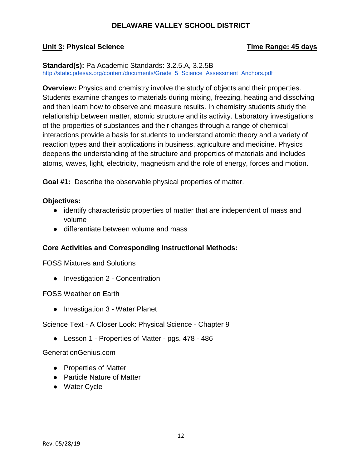#### **Unit 3: Physical Science Time Range: 45 days**

#### **Standard(s):** Pa Academic Standards: 3.2.5.A, 3.2.5B [http://static.pdesas.org/content/documents/Grade\\_5\\_Science\\_Assessment\\_Anchors.pdf](http://static.pdesas.org/content/documents/Grade_5_Science_Assessment_Anchors.pdf)

**Overview:** Physics and chemistry involve the study of objects and their properties. Students examine changes to materials during mixing, freezing, heating and dissolving and then learn how to observe and measure results. In chemistry students study the relationship between matter, atomic structure and its activity. Laboratory investigations of the properties of substances and their changes through a range of chemical interactions provide a basis for students to understand atomic theory and a variety of reaction types and their applications in business, agriculture and medicine. Physics deepens the understanding of the structure and properties of materials and includes atoms, waves, light, electricity, magnetism and the role of energy, forces and motion.

**Goal #1:** Describe the observable physical properties of matter.

#### **Objectives:**

- identify characteristic properties of matter that are independent of mass and volume
- differentiate between volume and mass

#### **Core Activities and Corresponding Instructional Methods:**

FOSS Mixtures and Solutions

● Investigation 2 - Concentration

FOSS Weather on Earth

• Investigation 3 - Water Planet

Science Text - A Closer Look: Physical Science - Chapter 9

● Lesson 1 - Properties of Matter - pgs. 478 - 486

#### GenerationGenius.com

- Properties of Matter
- Particle Nature of Matter
- Water Cycle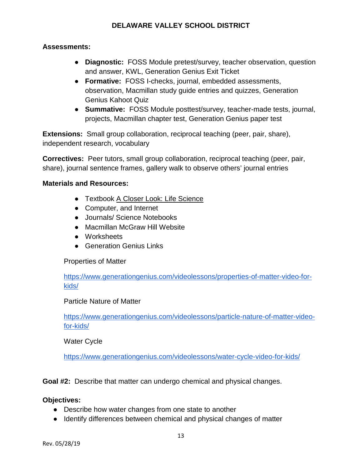#### **Assessments:**

- **Diagnostic:** FOSS Module pretest/survey, teacher observation, question and answer, KWL, Generation Genius Exit Ticket
- **Formative:** FOSS I-checks, journal, embedded assessments, observation, Macmillan study guide entries and quizzes, Generation Genius Kahoot Quiz
- **Summative:** FOSS Module posttest/survey, teacher-made tests, journal, projects, Macmillan chapter test, Generation Genius paper test

**Extensions:** Small group collaboration, reciprocal teaching (peer, pair, share), independent research, vocabulary

**Correctives:** Peer tutors, small group collaboration, reciprocal teaching (peer, pair, share), journal sentence frames, gallery walk to observe others' journal entries

#### **Materials and Resources:**

- Textbook A Closer Look: Life Science
- Computer, and Internet
- Journals/ Science Notebooks
- Macmillan McGraw Hill Website
- Worksheets
- Generation Genius Links

#### Properties of Matter

[https://www.generationgenius.com/videolessons/properties-of-matter-video-for](https://www.generationgenius.com/videolessons/properties-of-matter-video-for-kids/)[kids/](https://www.generationgenius.com/videolessons/properties-of-matter-video-for-kids/)

#### Particle Nature of Matter

[https://www.generationgenius.com/videolessons/particle-nature-of-matter-video](https://www.generationgenius.com/videolessons/particle-nature-of-matter-video-for-kids/)[for-kids/](https://www.generationgenius.com/videolessons/particle-nature-of-matter-video-for-kids/)

#### Water Cycle

<https://www.generationgenius.com/videolessons/water-cycle-video-for-kids/>

**Goal #2:** Describe that matter can undergo chemical and physical changes.

#### **Objectives:**

- Describe how water changes from one state to another
- Identify differences between chemical and physical changes of matter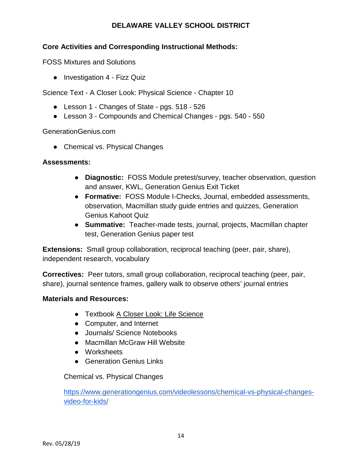#### **Core Activities and Corresponding Instructional Methods:**

FOSS Mixtures and Solutions

● Investigation 4 - Fizz Quiz

Science Text - A Closer Look: Physical Science - Chapter 10

- Lesson 1 Changes of State pgs. 518 526
- Lesson 3 Compounds and Chemical Changes pgs. 540 550

GenerationGenius.com

● Chemical vs. Physical Changes

#### **Assessments:**

- **Diagnostic:** FOSS Module pretest/survey, teacher observation, question and answer, KWL, Generation Genius Exit Ticket
- **Formative:** FOSS Module I-Checks, Journal, embedded assessments, observation, Macmillan study guide entries and quizzes, Generation Genius Kahoot Quiz
- **Summative:** Teacher-made tests, journal, projects, Macmillan chapter test, Generation Genius paper test

**Extensions:** Small group collaboration, reciprocal teaching (peer, pair, share), independent research, vocabulary

**Correctives:** Peer tutors, small group collaboration, reciprocal teaching (peer, pair, share), journal sentence frames, gallery walk to observe others' journal entries

#### **Materials and Resources:**

- Textbook A Closer Look: Life Science
- Computer, and Internet
- Journals/ Science Notebooks
- Macmillan McGraw Hill Website
- Worksheets
- Generation Genius Links

Chemical vs. Physical Changes

[https://www.generationgenius.com/videolessons/chemical-vs-physical-changes](https://www.generationgenius.com/videolessons/chemical-vs-physical-changes-video-for-kids/)[video-for-kids/](https://www.generationgenius.com/videolessons/chemical-vs-physical-changes-video-for-kids/)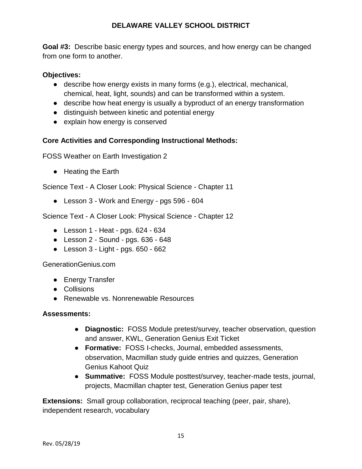**Goal #3:** Describe basic energy types and sources, and how energy can be changed from one form to another.

#### **Objectives:**

- describe how energy exists in many forms (e.g.), electrical, mechanical, chemical, heat, light, sounds) and can be transformed within a system.
- describe how heat energy is usually a byproduct of an energy transformation
- distinguish between kinetic and potential energy
- explain how energy is conserved

#### **Core Activities and Corresponding Instructional Methods:**

FOSS Weather on Earth Investigation 2

● Heating the Earth

Science Text - A Closer Look: Physical Science - Chapter 11

● Lesson 3 - Work and Energy - pgs 596 - 604

Science Text - A Closer Look: Physical Science - Chapter 12

- Lesson 1 Heat pgs. 624 634
- $\bullet$  Lesson 2 Sound pgs. 636 648
- $\bullet$  Lesson 3 Light pgs. 650 662

GenerationGenius.com

- Energy Transfer
- Collisions
- Renewable vs. Nonrenewable Resources

#### **Assessments:**

- **Diagnostic:** FOSS Module pretest/survey, teacher observation, question and answer, KWL, Generation Genius Exit Ticket
- **Formative:** FOSS I-checks, Journal, embedded assessments, observation, Macmillan study guide entries and quizzes, Generation Genius Kahoot Quiz
- **Summative:** FOSS Module posttest/survey, teacher-made tests, journal, projects, Macmillan chapter test, Generation Genius paper test

**Extensions:** Small group collaboration, reciprocal teaching (peer, pair, share), independent research, vocabulary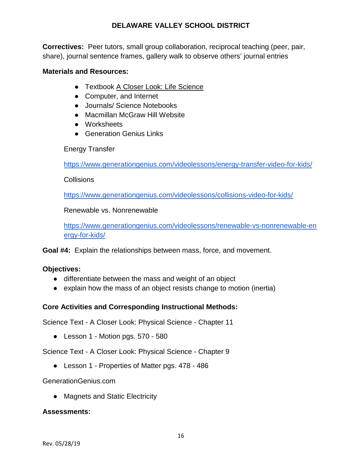**Correctives:** Peer tutors, small group collaboration, reciprocal teaching (peer, pair, share), journal sentence frames, gallery walk to observe others' journal entries

#### **Materials and Resources:**

- Textbook A Closer Look: Life Science
- Computer, and Internet
- Journals/ Science Notebooks
- Macmillan McGraw Hill Website
- Worksheets
- Generation Genius Links

#### Energy Transfer

<https://www.generationgenius.com/videolessons/energy-transfer-video-for-kids/>

#### **Collisions**

<https://www.generationgenius.com/videolessons/collisions-video-for-kids/>

#### Renewable vs. Nonrenewable

[https://www.generationgenius.com/videolessons/renewable-vs-nonrenewable-en](https://www.generationgenius.com/videolessons/renewable-vs-nonrenewable-energy-for-kids/)  [ergy-for-kids/](https://www.generationgenius.com/videolessons/renewable-vs-nonrenewable-energy-for-kids/)

**Goal #4:** Explain the relationships between mass, force, and movement.

#### **Objectives:**

- differentiate between the mass and weight of an object
- explain how the mass of an object resists change to motion (inertia)

#### **Core Activities and Corresponding Instructional Methods:**

Science Text - A Closer Look: Physical Science - Chapter 11

● Lesson 1 - Motion pgs. 570 - 580

Science Text - A Closer Look: Physical Science - Chapter 9

● Lesson 1 - Properties of Matter pgs. 478 - 486

#### GenerationGenius.com

● Magnets and Static Electricity

#### **Assessments:**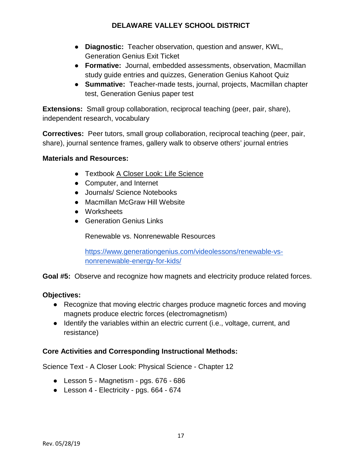- **Diagnostic:** Teacher observation, question and answer, KWL, Generation Genius Exit Ticket
- **Formative:** Journal, embedded assessments, observation, Macmillan study guide entries and quizzes, Generation Genius Kahoot Quiz
- **Summative:** Teacher-made tests, journal, projects, Macmillan chapter test, Generation Genius paper test

**Extensions:** Small group collaboration, reciprocal teaching (peer, pair, share), independent research, vocabulary

**Correctives:** Peer tutors, small group collaboration, reciprocal teaching (peer, pair, share), journal sentence frames, gallery walk to observe others' journal entries

#### **Materials and Resources:**

- Textbook A Closer Look: Life Science
- Computer, and Internet
- Journals/ Science Notebooks
- Macmillan McGraw Hill Website
- Worksheets
- **Generation Genius Links**

Renewable vs. Nonrenewable Resources

[https://www.generationgenius.com/videolessons/renewable-vs](https://www.generationgenius.com/videolessons/renewable-vs-nonrenewable-energy-for-kids/)[nonrenewable-energy-for-kids/](https://www.generationgenius.com/videolessons/renewable-vs-nonrenewable-energy-for-kids/)

**Goal #5:** Observe and recognize how magnets and electricity produce related forces.

#### **Objectives:**

- Recognize that moving electric charges produce magnetic forces and moving magnets produce electric forces (electromagnetism)
- Identify the variables within an electric current (i.e., voltage, current, and resistance)

#### **Core Activities and Corresponding Instructional Methods:**

Science Text - A Closer Look: Physical Science - Chapter 12

- Lesson 5 Magnetism pgs. 676 686
- Lesson 4 Electricity pgs. 664 674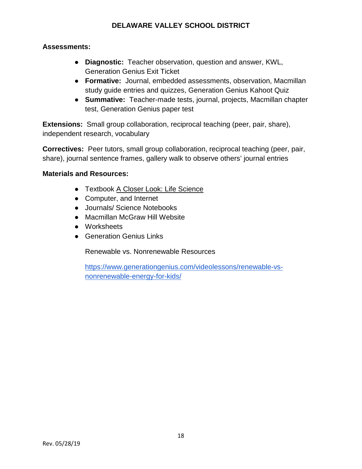#### **Assessments:**

- **Diagnostic:** Teacher observation, question and answer, KWL, Generation Genius Exit Ticket
- **Formative:** Journal, embedded assessments, observation, Macmillan study guide entries and quizzes, Generation Genius Kahoot Quiz
- **Summative:** Teacher-made tests, journal, projects, Macmillan chapter test, Generation Genius paper test

**Extensions:** Small group collaboration, reciprocal teaching (peer, pair, share), independent research, vocabulary

**Correctives:** Peer tutors, small group collaboration, reciprocal teaching (peer, pair, share), journal sentence frames, gallery walk to observe others' journal entries

#### **Materials and Resources:**

- Textbook A Closer Look: Life Science
- Computer, and Internet
- Journals/ Science Notebooks
- Macmillan McGraw Hill Website
- Worksheets
- Generation Genius Links

Renewable vs. Nonrenewable Resources

[https://www.generationgenius.com/videolessons/renewable-vs](https://www.generationgenius.com/videolessons/renewable-vs-nonrenewable-energy-for-kids/)[nonrenewable-energy-for-kids/](https://www.generationgenius.com/videolessons/renewable-vs-nonrenewable-energy-for-kids/)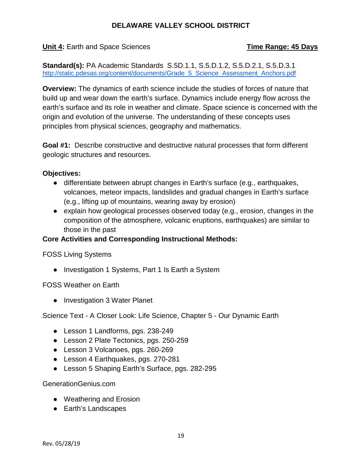**Unit 4:** Earth and Space Sciences **Time Range: 45 Days**

**Standard(s):** PA Academic Standards S.5D.1.1, S.5.D.1.2, S.5.D.2.1, S.5.D.3.1 [http://static.pdesas.org/content/documents/Grade\\_5\\_Science\\_Assessment\\_Anchors.pdf](http://static.pdesas.org/content/documents/Grade_5_Science_Assessment_Anchors.pdf)

**Overview:** The dynamics of earth science include the studies of forces of nature that build up and wear down the earth's surface. Dynamics include energy flow across the earth's surface and its role in weather and climate. Space science is concerned with the origin and evolution of the universe. The understanding of these concepts uses principles from physical sciences, geography and mathematics.

**Goal #1:** Describe constructive and destructive natural processes that form different geologic structures and resources.

#### **Objectives:**

- differentiate between abrupt changes in Earth's surface (e.g., earthquakes, volcanoes, meteor impacts, landslides and gradual changes in Earth's surface (e.g., lifting up of mountains, wearing away by erosion)
- explain how geological processes observed today (e.g., erosion, changes in the composition of the atmosphere, volcanic eruptions, earthquakes) are similar to those in the past

#### **Core Activities and Corresponding Instructional Methods:**

FOSS Living Systems

● Investigation 1 Systems, Part 1 Is Earth a System

FOSS Weather on Earth

● Investigation 3 Water Planet

Science Text - A Closer Look: Life Science, Chapter 5 - Our Dynamic Earth

- Lesson 1 Landforms, pgs. 238-249
- Lesson 2 Plate Tectonics, pgs. 250-259
- Lesson 3 Volcanoes, pgs. 260-269
- Lesson 4 Earthquakes, pgs. 270-281
- Lesson 5 Shaping Earth's Surface, pgs. 282-295

#### GenerationGenius.com

- Weathering and Erosion
- Earth's Landscapes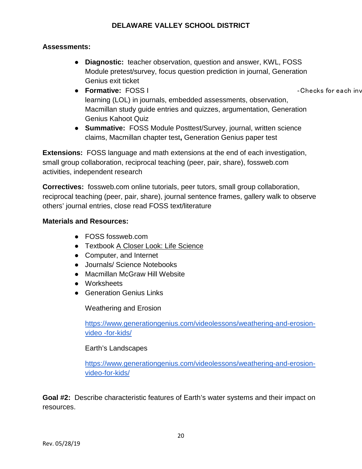#### **Assessments:**

- **Diagnostic:** teacher observation, question and answer, KWL, FOSS Module pretest/survey, focus question prediction in journal, Generation Genius exit ticket
- **Formative:** FOSS I ‐Checks for each inv learning (LOL) in journals, embedded assessments, observation, Macmillan study guide entries and quizzes, argumentation, Generation Genius Kahoot Quiz
- **Summative:** FOSS Module Posttest/Survey, journal, written science claims, Macmillan chapter test**,** Generation Genius paper test

**Extensions:** FOSS language and math extensions at the end of each investigation, small group collaboration, reciprocal teaching (peer, pair, share), fossweb.com activities, independent research

**Correctives:** fossweb.com online tutorials, peer tutors, small group collaboration, reciprocal teaching (peer, pair, share), journal sentence frames, gallery walk to observe others' journal entries, close read FOSS text/literature

#### **Materials and Resources:**

- FOSS fossweb.com
- Textbook A Closer Look: Life Science
- Computer, and Internet
- Journals/ Science Notebooks
- Macmillan McGraw Hill Website
- Worksheets
- Generation Genius Links

Weathering and Erosion

[https://www.generationgenius.com/videolessons/weathering-and-erosion](https://www.generationgenius.com/videolessons/weathering-and-erosion-video-for-kids/)[video -for-kids/](https://www.generationgenius.com/videolessons/weathering-and-erosion-video-for-kids/)

#### Earth's Landscapes

[https://www.generationgenius.com/videolessons/weathering-and-erosion](https://www.generationgenius.com/videolessons/weathering-and-erosion-video-for-kids/)[video-for-kids/](https://www.generationgenius.com/videolessons/weathering-and-erosion-video-for-kids/)

**Goal #2:** Describe characteristic features of Earth's water systems and their impact on resources.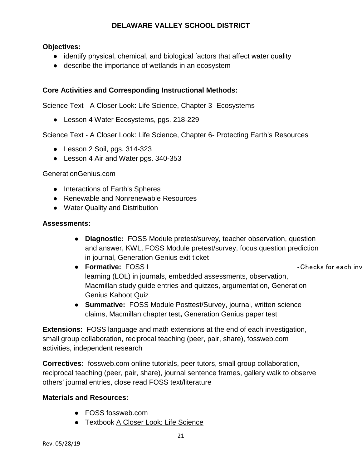#### **Objectives:**

- identify physical, chemical, and biological factors that affect water quality
- describe the importance of wetlands in an ecosystem

#### **Core Activities and Corresponding Instructional Methods:**

Science Text - A Closer Look: Life Science, Chapter 3- Ecosystems

● Lesson 4 Water Ecosystems, pgs. 218-229

Science Text - A Closer Look: Life Science, Chapter 6- Protecting Earth's Resources

- Lesson 2 Soil, pgs. 314-323
- Lesson 4 Air and Water pgs. 340-353

#### GenerationGenius.com

- Interactions of Earth's Spheres
- Renewable and Nonrenewable Resources
- Water Quality and Distribution

#### **Assessments:**

- **Diagnostic:** FOSS Module pretest/survey, teacher observation, question and answer, KWL, FOSS Module pretest/survey, focus question prediction in journal, Generation Genius exit ticket
- **Formative:** FOSS I ‐Checks for each inv learning (LOL) in journals, embedded assessments, observation, Macmillan study guide entries and quizzes, argumentation, Generation Genius Kahoot Quiz
- **Summative:** FOSS Module Posttest/Survey, journal, written science claims, Macmillan chapter test**,** Generation Genius paper test

**Extensions:** FOSS language and math extensions at the end of each investigation, small group collaboration, reciprocal teaching (peer, pair, share), fossweb.com activities, independent research

**Correctives:** fossweb.com online tutorials, peer tutors, small group collaboration, reciprocal teaching (peer, pair, share), journal sentence frames, gallery walk to observe others' journal entries, close read FOSS text/literature

#### **Materials and Resources:**

- FOSS fossweb.com
- Textbook A Closer Look: Life Science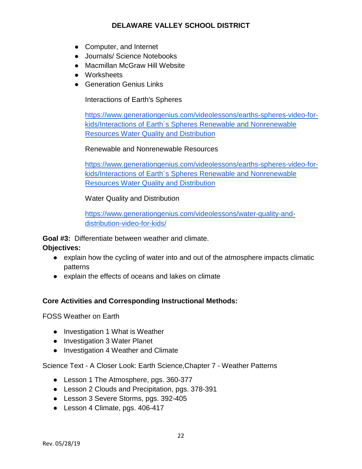- Computer, and Internet
- Journals/ Science Notebooks
- Macmillan McGraw Hill Website
- Worksheets
- Generation Genius Links

Interactions of Earth's Spheres

[https://www.generationgenius.com/videolessons/earths-spheres-video-for](https://www.generationgenius.com/videolessons/earths-spheres-video-for-kids/Interactions%20of%20Earth%C2%B4s%20Spheres%20Renewable%20and%20Nonrenewable%20Resources%20Water%20Quality%20and%20Distribution)[kids/Interactions of Earth´s Spheres Renewable and Nonrenewable](https://www.generationgenius.com/videolessons/earths-spheres-video-for-kids/Interactions%20of%20Earth%C2%B4s%20Spheres%20Renewable%20and%20Nonrenewable%20Resources%20Water%20Quality%20and%20Distribution)  [Resources Water Quality and Distribution](https://www.generationgenius.com/videolessons/earths-spheres-video-for-kids/Interactions%20of%20Earth%C2%B4s%20Spheres%20Renewable%20and%20Nonrenewable%20Resources%20Water%20Quality%20and%20Distribution)

#### Renewable and Nonrenewable Resources

[https://www.generationgenius.com/videolessons/earths-spheres-video-for](https://www.generationgenius.com/videolessons/earths-spheres-video-for-kids/Interactions%20of%20Earth%C2%B4s%20Spheres%20Renewable%20and%20Nonrenewable%20Resources%20Water%20Quality%20and%20Distribution)[kids/Interactions of Earth´s Spheres Renewable and Nonrenewable](https://www.generationgenius.com/videolessons/earths-spheres-video-for-kids/Interactions%20of%20Earth%C2%B4s%20Spheres%20Renewable%20and%20Nonrenewable%20Resources%20Water%20Quality%20and%20Distribution)  [Resources Water Quality and Distribution](https://www.generationgenius.com/videolessons/earths-spheres-video-for-kids/Interactions%20of%20Earth%C2%B4s%20Spheres%20Renewable%20and%20Nonrenewable%20Resources%20Water%20Quality%20and%20Distribution)

Water Quality and Distribution

[https://www.generationgenius.com/videolessons/water-quality-and](https://www.generationgenius.com/videolessons/water-quality-and-distribution-video-for-kids/)[distribution-video-for-kids/](https://www.generationgenius.com/videolessons/water-quality-and-distribution-video-for-kids/)

**Goal #3:** Differentiate between weather and climate.

**Objectives:**

- explain how the cycling of water into and out of the atmosphere impacts climatic patterns
- explain the effects of oceans and lakes on climate

#### **Core Activities and Corresponding Instructional Methods:**

FOSS Weather on Earth

- Investigation 1 What is Weather
- Investigation 3 Water Planet
- Investigation 4 Weather and Climate

Science Text - A Closer Look: Earth Science,Chapter 7 - Weather Patterns

- Lesson 1 The Atmosphere, pgs. 360-377
- Lesson 2 Clouds and Precipitation, pgs. 378-391
- Lesson 3 Severe Storms, pgs. 392-405
- Lesson 4 Climate, pgs. 406-417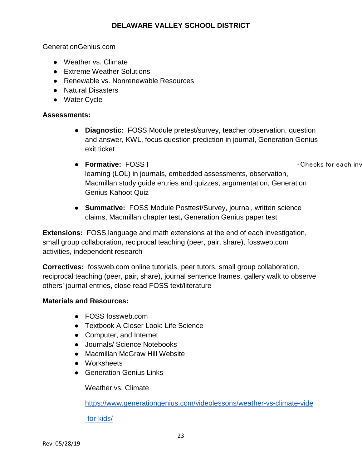GenerationGenius.com

- Weather vs. Climate
- Extreme Weather Solutions
- Renewable vs. Nonrenewable Resources
- Natural Disasters
- Water Cycle

#### **Assessments:**

- **Diagnostic:** FOSS Module pretest/survey, teacher observation, question and answer, KWL, focus question prediction in journal, Generation Genius exit ticket
- **Formative:** FOSS I ‐Checks for each inv learning (LOL) in journals, embedded assessments, observation, Macmillan study guide entries and quizzes, argumentation, Generation Genius Kahoot Quiz
- **Summative:** FOSS Module Posttest/Survey, journal, written science claims, Macmillan chapter test**,** Generation Genius paper test

**Extensions:** FOSS language and math extensions at the end of each investigation, small group collaboration, reciprocal teaching (peer, pair, share), fossweb.com activities, independent research

**Correctives:** fossweb.com online tutorials, peer tutors, small group collaboration, reciprocal teaching (peer, pair, share), journal sentence frames, gallery walk to observe others' journal entries, close read FOSS text/literature

#### **Materials and Resources:**

- FOSS fossweb.com
- Textbook A Closer Look: Life Science
- Computer, and Internet
- Journals/ Science Notebooks
- Macmillan McGraw Hill Website
- Worksheets
- Generation Genius Links

Weather vs. Climate

[https://www.generationgenius.com/videolessons/weather-vs-climate-vide](https://www.generationgenius.com/videolessons/weather-vs-climate-video-for-kids/)

[-for-kids/](https://www.generationgenius.com/videolessons/weather-vs-climate-video-for-kids/)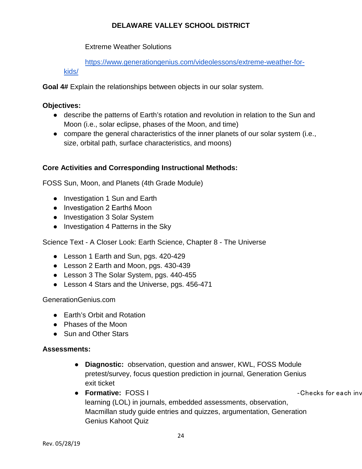Extreme Weather Solutions

[https://www.generationgenius.com/videolessons/extreme-weather-for](https://www.generationgenius.com/videolessons/extreme-weather-for-kids/)[kids/](https://www.generationgenius.com/videolessons/extreme-weather-for-kids/)

**Goal 4#** Explain the relationships between objects in our solar system.

#### **Objectives:**

- describe the patterns of Earth's rotation and revolution in relation to the Sun and Moon (i.e., solar eclipse, phases of the Moon, and time)
- compare the general characteristics of the inner planets of our solar system (i.e., size, orbital path, surface characteristics, and moons)

#### **Core Activities and Corresponding Instructional Methods:**

FOSS Sun, Moon, and Planets (4th Grade Module)

- Investigation 1 Sun and Earth
- Investigation 2 Earthś Moon
- Investigation 3 Solar System
- Investigation 4 Patterns in the Sky

Science Text - A Closer Look: Earth Science, Chapter 8 - The Universe

- Lesson 1 Earth and Sun, pgs. 420-429
- Lesson 2 Earth and Moon, pgs. 430-439
- Lesson 3 The Solar System, pgs. 440-455
- Lesson 4 Stars and the Universe, pgs. 456-471

GenerationGenius.com

- Earth's Orbit and Rotation
- Phases of the Moon
- Sun and Other Stars

#### **Assessments:**

- **Diagnostic:** observation, question and answer, KWL, FOSS Module pretest/survey, focus question prediction in journal, Generation Genius exit ticket
- **Formative:** FOSS I ‐Checks for each inv learning (LOL) in journals, embedded assessments, observation, Macmillan study guide entries and quizzes, argumentation, Generation Genius Kahoot Quiz

Rev. 05/28/19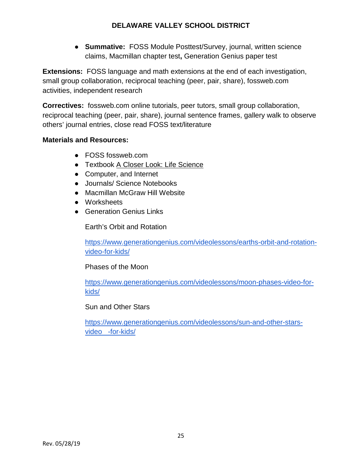● **Summative:** FOSS Module Posttest/Survey, journal, written science claims, Macmillan chapter test**,** Generation Genius paper test

**Extensions:** FOSS language and math extensions at the end of each investigation, small group collaboration, reciprocal teaching (peer, pair, share), fossweb.com activities, independent research

**Correctives:** fossweb.com online tutorials, peer tutors, small group collaboration, reciprocal teaching (peer, pair, share), journal sentence frames, gallery walk to observe others' journal entries, close read FOSS text/literature

#### **Materials and Resources:**

- FOSS fossweb.com
- Textbook A Closer Look: Life Science
- Computer, and Internet
- Journals/ Science Notebooks
- Macmillan McGraw Hill Website
- Worksheets
- Generation Genius Links

Earth's Orbit and Rotation

[https://www.generationgenius.com/videolessons/earths-orbit-and-rotation](https://www.generationgenius.com/videolessons/earths-orbit-and-rotation-video-for-kids/)[video-for-kids/](https://www.generationgenius.com/videolessons/earths-orbit-and-rotation-video-for-kids/)

Phases of the Moon

[https://www.generationgenius.com/videolessons/moon-phases-video-for](https://www.generationgenius.com/videolessons/moon-phases-video-for-kids/)[kids/](https://www.generationgenius.com/videolessons/moon-phases-video-for-kids/)

#### Sun and Other Stars

[https://www.generationgenius.com/videolessons/sun-and-other-stars](https://www.generationgenius.com/videolessons/sun-and-other-stars-video-for-kids/)[video -for-kids/](https://www.generationgenius.com/videolessons/sun-and-other-stars-video-for-kids/)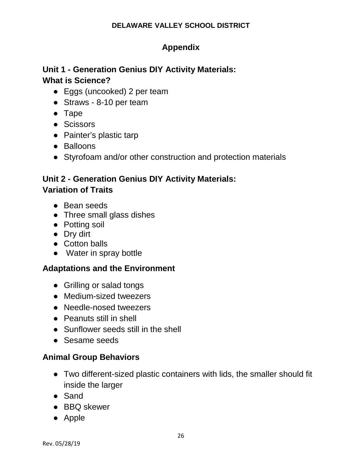## **Appendix**

## **Unit 1 - Generation Genius DIY Activity Materials: What is Science?**

- Eggs (uncooked) 2 per team
- Straws 8-10 per team
- Tape
- Scissors
- Painter's plastic tarp
- Balloons
- Styrofoam and/or other construction and protection materials

## **Unit 2 - Generation Genius DIY Activity Materials: Variation of Traits**

- Bean seeds
- Three small glass dishes
- Potting soil
- Dry dirt
- Cotton balls
- Water in spray bottle

## **Adaptations and the Environment**

- Grilling or salad tongs
- Medium-sized tweezers
- Needle-nosed tweezers
- Peanuts still in shell
- Sunflower seeds still in the shell
- Sesame seeds

## **Animal Group Behaviors**

- Two different-sized plastic containers with lids, the smaller should fit inside the larger
- Sand
- BBQ skewer
- Apple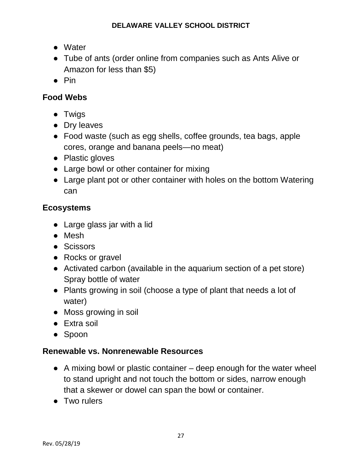- Water
- Tube of ants (order online from companies such as Ants Alive or Amazon for less than \$5)
- Pin

## **Food Webs**

- Twigs
- Dry leaves
- Food waste (such as egg shells, coffee grounds, tea bags, apple cores, orange and banana peels—no meat)
- Plastic gloves
- Large bowl or other container for mixing
- Large plant pot or other container with holes on the bottom Watering can

## **Ecosystems**

- Large glass jar with a lid
- Mesh
- Scissors
- Rocks or gravel
- Activated carbon (available in the aquarium section of a pet store) Spray bottle of water
- Plants growing in soil (choose a type of plant that needs a lot of water)
- Moss growing in soil
- Extra soil
- Spoon

## **Renewable vs. Nonrenewable Resources**

- $\bullet$  A mixing bowl or plastic container deep enough for the water wheel to stand upright and not touch the bottom or sides, narrow enough that a skewer or dowel can span the bowl or container.
- Two rulers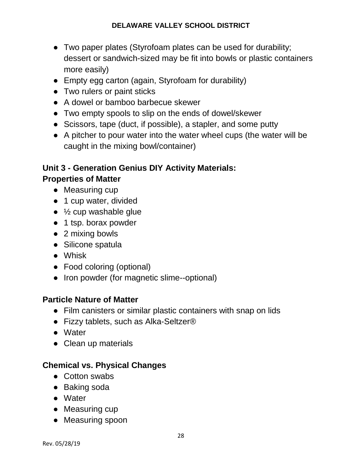- Two paper plates (Styrofoam plates can be used for durability; dessert or sandwich-sized may be fit into bowls or plastic containers more easily)
- Empty egg carton (again, Styrofoam for durability)
- Two rulers or paint sticks
- A dowel or bamboo barbecue skewer
- Two empty spools to slip on the ends of dowel/skewer
- Scissors, tape (duct, if possible), a stapler, and some putty
- A pitcher to pour water into the water wheel cups (the water will be caught in the mixing bowl/container)

## **Unit 3 - Generation Genius DIY Activity Materials: Properties of Matter**

- Measuring cup
- 1 cup water, divided
- $\bullet$   $\frac{1}{2}$  cup washable glue
- 1 tsp. borax powder
- 2 mixing bowls
- Silicone spatula
- Whisk
- Food coloring (optional)
- Iron powder (for magnetic slime--optional)

## **Particle Nature of Matter**

- Film canisters or similar plastic containers with snap on lids
- Fizzy tablets, such as Alka-Seltzer<sup>®</sup>
- Water
- Clean up materials

## **Chemical vs. Physical Changes**

- Cotton swabs
- Baking soda
- Water
- Measuring cup
- Measuring spoon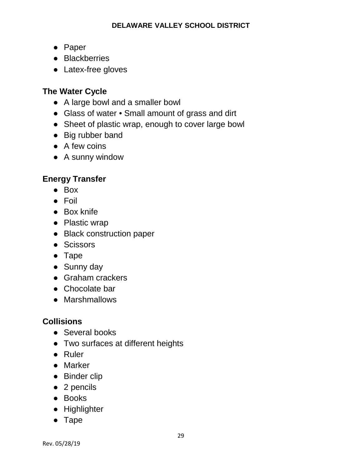- Paper
- Blackberries
- Latex-free gloves

## **The Water Cycle**

- A large bowl and a smaller bowl
- Glass of water Small amount of grass and dirt
- Sheet of plastic wrap, enough to cover large bowl
- Big rubber band
- A few coins
- A sunny window

## **Energy Transfer**

- Box
- Foil
- Box knife
- Plastic wrap
- Black construction paper
- Scissors
- Tape
- Sunny day
- Graham crackers
- Chocolate bar
- Marshmallows

## **Collisions**

- Several books
- Two surfaces at different heights
- Ruler
- Marker
- Binder clip
- 2 pencils
- Books
- Highlighter
- Tape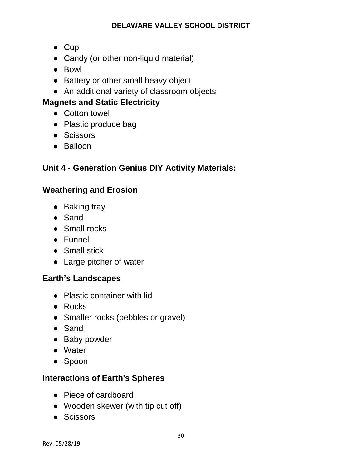- Cup
- Candy (or other non-liquid material)
- Bowl
- Battery or other small heavy object
- An additional variety of classroom objects

## **Magnets and Static Electricity**

- Cotton towel
- Plastic produce bag
- Scissors
- Balloon

## **Unit 4 - Generation Genius DIY Activity Materials:**

## **Weathering and Erosion**

- Baking tray
- Sand
- Small rocks
- Funnel
- Small stick
- Large pitcher of water

## **Earth's Landscapes**

- Plastic container with lid
- Rocks
- Smaller rocks (pebbles or gravel)
- Sand
- Baby powder
- Water
- Spoon

## **Interactions of Earth's Spheres**

- Piece of cardboard
- Wooden skewer (with tip cut off)
- Scissors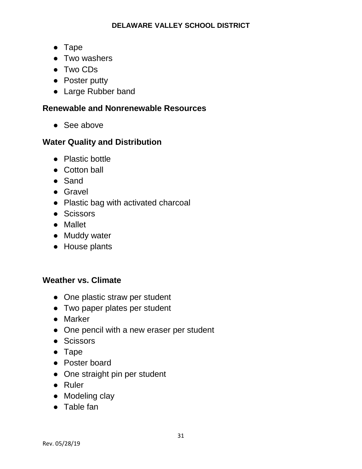- Tape
- Two washers
- Two CDs
- Poster putty
- Large Rubber band

## **Renewable and Nonrenewable Resources**

● See above

## **Water Quality and Distribution**

- Plastic bottle
- Cotton ball
- Sand
- Gravel
- Plastic bag with activated charcoal
- Scissors
- Mallet
- Muddy water
- House plants

## **Weather vs. Climate**

- One plastic straw per student
- Two paper plates per student
- Marker
- One pencil with a new eraser per student
- Scissors
- Tape
- Poster board
- One straight pin per student
- Ruler
- Modeling clay
- Table fan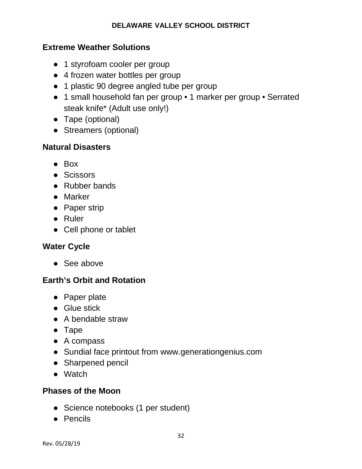### **Extreme Weather Solutions**

- 1 styrofoam cooler per group
- 4 frozen water bottles per group
- 1 plastic 90 degree angled tube per group
- 1 small household fan per group 1 marker per group Serrated steak knife\* (Adult use only!)
- Tape (optional)
- Streamers (optional)

### **Natural Disasters**

- Box
- Scissors
- Rubber bands
- Marker
- Paper strip
- Ruler
- Cell phone or tablet

## **Water Cycle**

● See above

## **Earth's Orbit and Rotation**

- Paper plate
- Glue stick
- A bendable straw
- Tape
- A compass
- Sundial face printout from www.generationgenius.com
- Sharpened pencil
- Watch

## **Phases of the Moon**

- Science notebooks (1 per student)
- Pencils